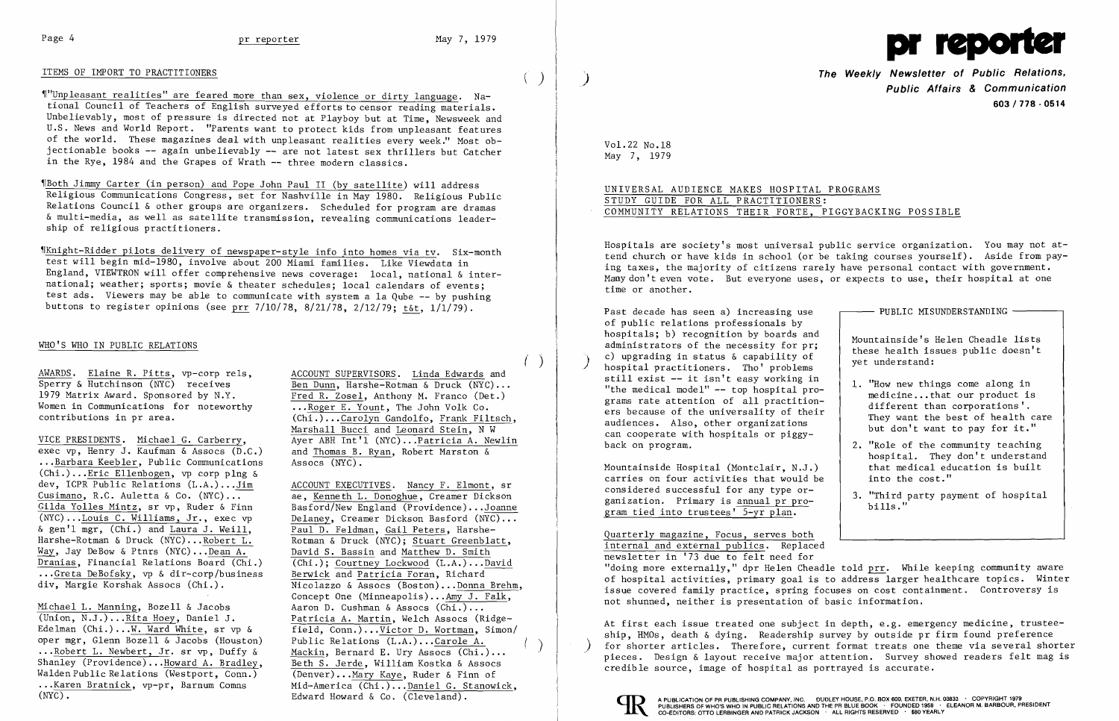### ITEMS OF IMPORT TO PRACTITIONERS



~1"Unp1easant realities" are feared more than sex, violence or dirty language. National Council of Teachers of English surveyed efforts to censor reading materials. Unbelievably, most of pressure is directed not at Playboy but at Time, Newsweek and U.S. News and World Report. "Parents want to protect kids from unpleasant features of the world. These magazines deal with unpleasant realities every week." Most objectionable books -- again unbelievably -- are not latest sex thrillers but Catcher in the Rye. 1984 and the Grapes of Wrath -- three modern classics.

~IKnight-Ridder pilots delivery of newspaper-style info into homes via tv. Six-month test will begin mid-1980, involve about 200 Miami families. Like Viewdata in England, VIEWTRON will offer comprehensive news coverage: local, national & international; weather; sports; movie & theater schedules; local calendars of events; test ads. Viewers may be able to communicate with system a la Qube -- by pushing buttons to register opinions (see prr 7/10/78, 8/21/78, 2/12/79; t&t, 1/1/79).

~rBoth Jimmy Carter (in person) and Pope John Paul II (by satellite) will address Religious Communications Congress, set for Nashville in May 1980. Religious Public Relations Council & other groups are organizers. Scheduled for program are dramas & multi-media, as well as satellite transmission, revealing communications leadership of religious practitioners.

## WHO'S WHO IN PUBLIC RELATIONS

AWARDS. Elaine R. Pitts, vp-corp rels, ACCOUNT SUPERVISORS. Linda Edwards and Sperry & Hutchinson (NYC) receives Ben Dunn, Harshe-Rotman & Druck (NYC).. Women in Communications for noteworthy  $\overline{\ldots \text{Roger E.} \text{ Your}},$  The John Volk Co.<br>
(Chi.)...Carolyn Gandolfo. Frank Fil

exec vp, Henry J. Kaufman & Assocs  $(\overline{D}.C.)$  and Thomas B.<br>...Barbara Keebler, Public Communications Assocs (NYC). ...Barbara Keebler, Public Communications (Chi.) ...Eric Ellenbogen, vp corp p1ng & dev, ICPR Public Relations (L.A.)...Jim ACCOUNT EXECUTIVES. Nancy F. Elmont, sr<br>Cusimano, R.C. Auletta & Co. (NYC)... ae. Kenneth L. Donoghue. Creamer Dickson Cusimano, R.C. Auletta & Co. (NYC)...<br>Gilda Yolles Mintz, sr vp, Ruder & Finn Basford/New England (Providence)...Joanne Gilda Yolles Mintz, sr vp, Ruder & Finn Basford/New England (Providence)...Joanne<br>(NYC)...Louis C. Williams, Jr., exec vp Delaney. Creamer Dickson Basford (NYC)... & gen'l mgr, (Chi.) and Laura J. Weill,  $\frac{Paul\ D. \text{ Feldman}}{R$  aul D. Feldman, Gail Peters, Harshe-<br>Harshe-Rotman & Druck (NYC)...Robert L. Rotman & Druck (NYC); Stuart Greenblatt. Harshe-Rotman & Druck  $(N<sub>YC</sub>)$ ... Robert L. Way, Jay DeBow & Ptnrs (NYC)...Dean A. David S. Bassin and Matthew D. Smith Dranias, Financial Relations Board (Chi.)  $\overline{(Chi.)}$ ; Courtney Lockwood (L.A.)...David<br>...Greta DeBofsky, vp & dir-corp/business Berwick and Patricia Foran, Richard ...Greta DeBofsky, vp & dir-corp/business<br>div, Margie Korshak Assocs (Chi.).

Michael L. Manning, Bozell & Jacobs<br>
(Union, N.J.)...Rita Hoey, Daniel J. Patricia A. Martin. Welch Assocs (R) (Union, N.J.)... Rita Hoey, Daniel J. Patricia A. Martin, Welch Assocs (Ridge-Edelman (Chi.)...W. Ward White, sr vp & field, Conn.)... Victor D. Wortman, Simon oper mgr, Glenn Bozell & Jacobs (Houston) ...Robert L. Newbert, Jr. sr vp, Duffy & Shanley (Providence)...Howard A. Bradley, Walden Public Relations (Westport, Conn.) Walden Public Relations (Westport, Conn.) (Denver)...<u>Mary Kaye</u>, Ruder & Finn of<br>...Karen Bratnick, vp-pr, Barnum Comns Mid-America (Chi.)...Daniel G. Stanowi

Sperry & Hutchinson (NYC) receives  $\frac{\text{Ben Dunn}}{\text{Fred R. Zosel. Anthony M. Franco (Det.)}}$  $\overline{\text{Fred R.}}$  Zose1, Anthony M. Franco (Det.) (Chi.)...Carolyn Gandolfo, Frank Filtsch, Marshall Bucci and Leonard Stein, N W VICE PRESIDENTS. Michael G. Carberry, Ayer ABH Int'l (NYC)...Patricia A. Newlin exec vp, Henry J. Kaufman & Assocs (D.C.) and Thomas B. Ryan, Robert Marston &

Delaney, Creamer Dickson Basford (NYC)...<br>Paul D. Feldman, Gail Peters, Harshe-Nicolazzo & Assocs (Boston) ... Donna Brehm, Concept One  $(Minneapolis) \dots Amy J. Falk,$ field, Conn.) ... Victor D. Wortman, Simon/ Public Relations (L.A.) ...Caro1e A. Mackin, Bernard E. Ury Assocs (Chi.)...<br>Beth S. Jerde. William Kostka & Assocs ...Karen Bratnick, vp-pr, Barnum Comns<br>(NYC).<br>Edward Howard & Co. (Cleveland). Edward Howard & Co. (Cleveland).

PUBLIC MISUNDERSTANDING Mountainside's Helen Cheadle lists<br>administrators of the necessity for pr;<br>c) upgrading in status & capability of<br>hospital practitioners. Tho' problems<br>still exist -- it isn't easy working in

Mountainside Hospital (Montclair, N.J.)  $\qquad$  that medical educatries on four activities that would be  $\qquad$  into the cost." carries on four activities that would be considered successful for any type or considered succession for any type of-<br>ganization. Primary is annual pr pro-<br>bills." gram tied into trustees' 5-yr plan.

At first each issue treated one subject in depth, e.g. emergency medicine, trusteeship, HMOs, death & dying. Readership survey by outside pr firm found preference for shorter articles. Therefore, current format treats one theme via several shorter pieces. Design & layout receive major attention. Survey showed readers felt mag is credible source, image of hospital as portrayed is accurate.



 $($   $)$ 

**The Weekly Newsletter of Public Relations,** ) **Public Affairs & Communication 603/778·0514** 

PROGRAMS

IGGYBACKING POSSIBLE

Vol. 22 No .18 May 7, 1979

| UNIVERSAL AUDIENCE MAKES HOSPITAL   |  |  |
|-------------------------------------|--|--|
| STUDY GUIDE FOR ALL PRACTITIONERS:  |  |  |
| COMMUNITY RELATIONS THEIR FORTE, PI |  |  |

Hospitals are society's most universal public service organization. You may not attend church or have kids in school (or be taking courses yourself). Aside from paying taxes, the majority of citizens rarely have personal contact with government. Many don't even vote. But everyone uses, or expects to use, their hospital at one time or another.

of public relations professionals by hospitals; b) recognition by boards and Past decade has seen a) increasing use

still exist -- it isn't easy working in<br>"the medical model" -- top hospital pro-<br>grams rate attention of all practition-<br>different than corporations'. ers because of the universality of their<br>audiences. Also, other organizations but don't want to pay for it." can cooperate with hospitals or piggyback on program.  $\vert$  2. "Role of the community teaching

Quarterly magazine, Focus, serves both internal and external publics. Replaced newsletter in '73 due to felt need for "doing more externally," dpr Helen Cheadle told prr. While keeping community aware of hospital activities, primary goal is to address larger hea1thcare topics. Winter issue covered family practice, spring focuses on cost containment. Controversy is not shunned, neither is presentation of basic information.

I

- hospital. They don't understand<br>that medical education is built
-